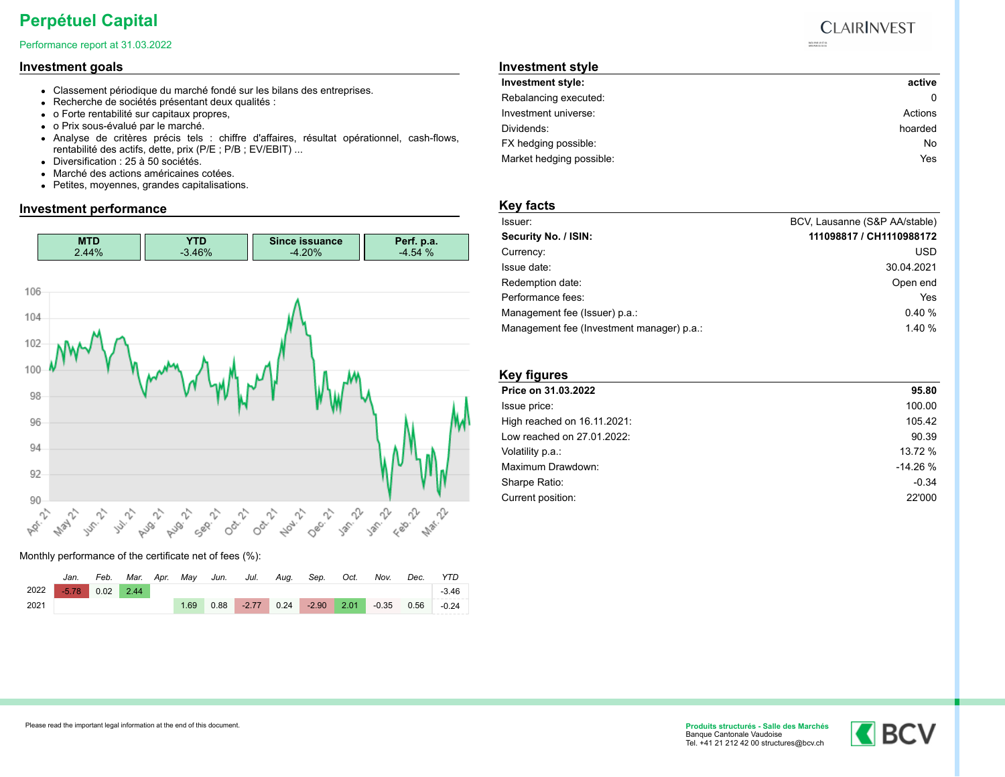# **Perpétuel Capital**

#### Performance report at 31.03.2022

### **Investment goals**

- Classement périodique du marché fondé sur les bilans des entreprises.
- Recherche de sociétés présentant deux qualités :
- o Forte rentabilité sur capitaux propres,
- o Prix sous-évalué par le marché.
- Analyse de critères précis tels : chiffre d'affaires, résultat opérationnel, cash-flows, rentabilité des actifs, dette, prix (P/E ; P/B ; EV/EBIT) ...
- Diversification : 25 à 50 sociétés.
- Marché des actions américaines cotées.
- Petites, moyennes, grandes capitalisations.

### **Investment performance**



Monthly performance of the certificate net of fees (%):

|      | Jan.    | Feb. | Mar. | Apr. | Mav  | Jun. | Jul.    | Aug. | Sep.    | Oct. | Nov.         | Dec. | <b>YTD</b> |
|------|---------|------|------|------|------|------|---------|------|---------|------|--------------|------|------------|
| 2022 | $-5.78$ | 0.02 | 2.44 |      |      |      |         |      |         |      |              |      | $-3.46$    |
| 2021 |         |      |      |      | 1.69 | 0.88 | $-2.77$ | 0.24 | $-2.90$ | 2.01 | $-0.35$ 0.56 |      | $-0.24$    |

## **Investment style**

| Investment style:        | active  |
|--------------------------|---------|
| Rebalancing executed:    |         |
| Investment universe:     | Actions |
| Dividends:               | hoarded |
| FX hedging possible:     | No      |
| Market hedging possible: | Yes     |

### **Key facts**

| Issuer:                                   | BCV, Lausanne (S&P AA/stable) |
|-------------------------------------------|-------------------------------|
| Security No. / ISIN:                      | 111098817 / CH1110988172      |
| Currency:                                 | <b>USD</b>                    |
| Issue date:                               | 30.04.2021                    |
| Redemption date:                          | Open end                      |
| Performance fees:                         | Yes                           |
| Management fee (Issuer) p.a.:             | 0.40%                         |
| Management fee (Investment manager) p.a.: | 1.40%                         |

| <b>Key figures</b>          |           |
|-----------------------------|-----------|
| Price on 31.03.2022         | 95.80     |
| Issue price:                | 100.00    |
| High reached on 16.11.2021: | 105.42    |
| Low reached on 27.01.2022:  | 90.39     |
| Volatility p.a.:            | 13.72 %   |
| Maximum Drawdown:           | $-14.26%$ |
| Sharpe Ratio:               | $-0.34$   |
| Current position:           | 22'000    |





#### **CLAIRINVEST**  $\begin{array}{l} \text{RID} \, \, \text{RVD} \, \, \text{20} \, \, \text{27} \, \, \text{61} \\ \text{GHS} \, \text{RVD} \, \, \text{65} \, \, \text{65} \, \, \text{66} \, \, \text{66} \end{array}$